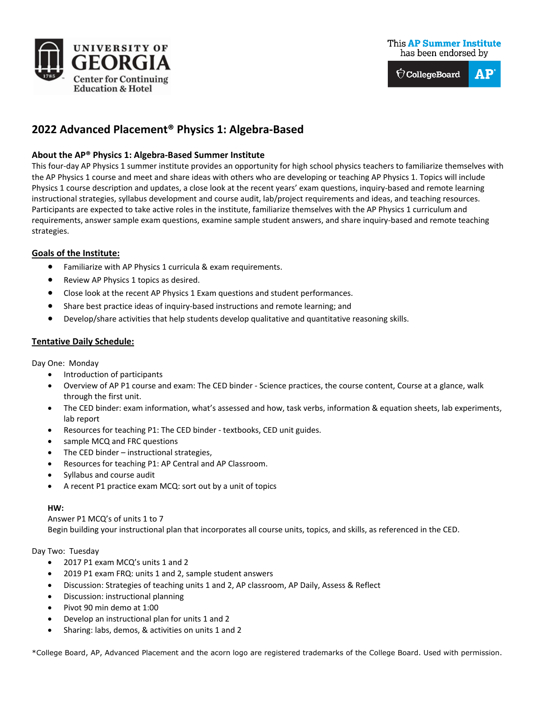



# **2022 Advanced Placement® Physics 1: Algebra-Based**

# **About the AP® Physics 1: Algebra-Based Summer Institute**

This four-day AP Physics 1 summer institute provides an opportunity for high school physics teachers to familiarize themselves with the AP Physics 1 course and meet and share ideas with others who are developing or teaching AP Physics 1. Topics will include Physics 1 course description and updates, a close look at the recent years' exam questions, inquiry-based and remote learning instructional strategies, syllabus development and course audit, lab/project requirements and ideas, and teaching resources. Participants are expected to take active roles in the institute, familiarize themselves with the AP Physics 1 curriculum and requirements, answer sample exam questions, examine sample student answers, and share inquiry-based and remote teaching strategies.

## **Goals of the Institute:**

- Familiarize with AP Physics 1 curricula & exam requirements.
- Review AP Physics 1 topics as desired.
- Close look at the recent AP Physics 1 Exam questions and student performances.
- Share best practice ideas of inquiry-based instructions and remote learning; and
- Develop/share activities that help students develop qualitative and quantitative reasoning skills.

# **Tentative Daily Schedule:**

Day One: Monday

- Introduction of participants
- Overview of AP P1 course and exam: The CED binder Science practices, the course content, Course at a glance, walk through the first unit.
- The CED binder: exam information, what's assessed and how, task verbs, information & equation sheets, lab experiments, lab report
- Resources for teaching P1: The CED binder textbooks, CED unit guides.
- sample MCQ and FRC questions
- The CED binder instructional strategies,
- Resources for teaching P1: AP Central and AP Classroom.
- Syllabus and course audit
- A recent P1 practice exam MCQ: sort out by a unit of topics

#### **HW:**

Answer P1 MCQ's of units 1 to 7 Begin building your instructional plan that incorporates all course units, topics, and skills, as referenced in the CED.

#### Day Two: Tuesday

- 2017 P1 exam MCQ's units 1 and 2
- 2019 P1 exam FRQ: units 1 and 2, sample student answers
- Discussion: Strategies of teaching units 1 and 2, AP classroom, AP Daily, Assess & Reflect
- Discussion: instructional planning
- Pivot 90 min demo at 1:00
- Develop an instructional plan for units 1 and 2
- Sharing: labs, demos, & activities on units 1 and 2

\*College Board, AP, Advanced Placement and the acorn logo are registered trademarks of the College Board. Used with permission.